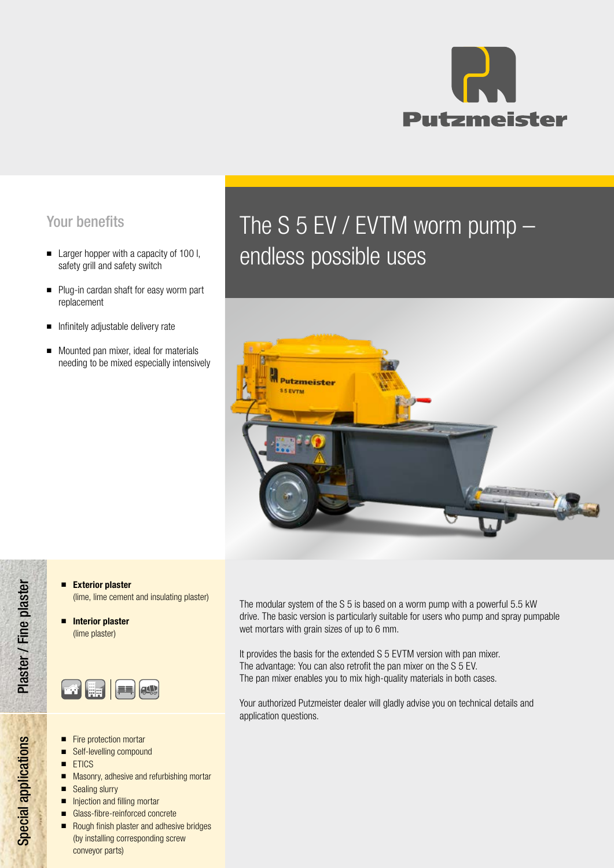

## Your benefits

- safety grill and safety switch
- Plug-in cardan shaft for easy worm part replacement
- Infinitely adjustable delivery rate
- Mounted pan mixer, ideal for materials needing to be mixed especially intensively

# The S 5 EV / EVTM worm pump – Larger hopper with a capacity of 100 l,<br>safety grill and safety switch



- Exterior plaster (lime, lime cement and insulating plaster)
- Interior plaster (lime plaster)



- Fire protection mortar
- Self-levelling compound
- ETICS
- Masonry, adhesive and refurbishing mortar
- Sealing slurry
- Injection and filling mortar
- Glass-fibre-reinforced concrete
- Rough finish plaster and adhesive bridges (by installing corresponding screw conveyor parts)

The modular system of the S 5 is based on a worm pump with a powerful 5.5 kW drive. The basic version is particularly suitable for users who pump and spray pumpable wet mortars with grain sizes of up to 6 mm.

It provides the basis for the extended S 5 EVTM version with pan mixer. The advantage: You can also retrofit the pan mixer on the S 5 EV. The pan mixer enables you to mix high-quality materials in both cases.

Your authorized Putzmeister dealer will gladly advise you on technical details and application questions.